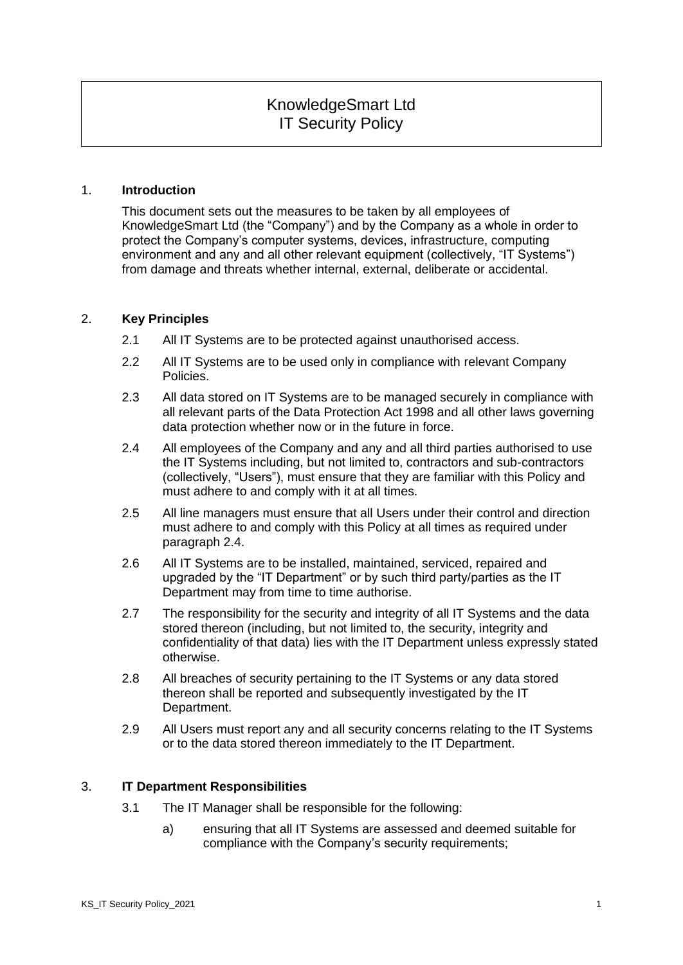# KnowledgeSmart Ltd IT Security Policy

#### 1. **Introduction**

This document sets out the measures to be taken by all employees of KnowledgeSmart Ltd (the "Company") and by the Company as a whole in order to protect the Company's computer systems, devices, infrastructure, computing environment and any and all other relevant equipment (collectively, "IT Systems") from damage and threats whether internal, external, deliberate or accidental.

### 2. **Key Principles**

- 2.1 All IT Systems are to be protected against unauthorised access.
- 2.2 All IT Systems are to be used only in compliance with relevant Company Policies.
- 2.3 All data stored on IT Systems are to be managed securely in compliance with all relevant parts of the Data Protection Act 1998 and all other laws governing data protection whether now or in the future in force.
- 2.4 All employees of the Company and any and all third parties authorised to use the IT Systems including, but not limited to, contractors and sub-contractors (collectively, "Users"), must ensure that they are familiar with this Policy and must adhere to and comply with it at all times.
- 2.5 All line managers must ensure that all Users under their control and direction must adhere to and comply with this Policy at all times as required under paragraph 2.4.
- 2.6 All IT Systems are to be installed, maintained, serviced, repaired and upgraded by the "IT Department" or by such third party/parties as the IT Department may from time to time authorise.
- 2.7 The responsibility for the security and integrity of all IT Systems and the data stored thereon (including, but not limited to, the security, integrity and confidentiality of that data) lies with the IT Department unless expressly stated otherwise.
- 2.8 All breaches of security pertaining to the IT Systems or any data stored thereon shall be reported and subsequently investigated by the IT Department.
- 2.9 All Users must report any and all security concerns relating to the IT Systems or to the data stored thereon immediately to the IT Department.

#### 3. **IT Department Responsibilities**

- 3.1 The IT Manager shall be responsible for the following:
	- a) ensuring that all IT Systems are assessed and deemed suitable for compliance with the Company's security requirements;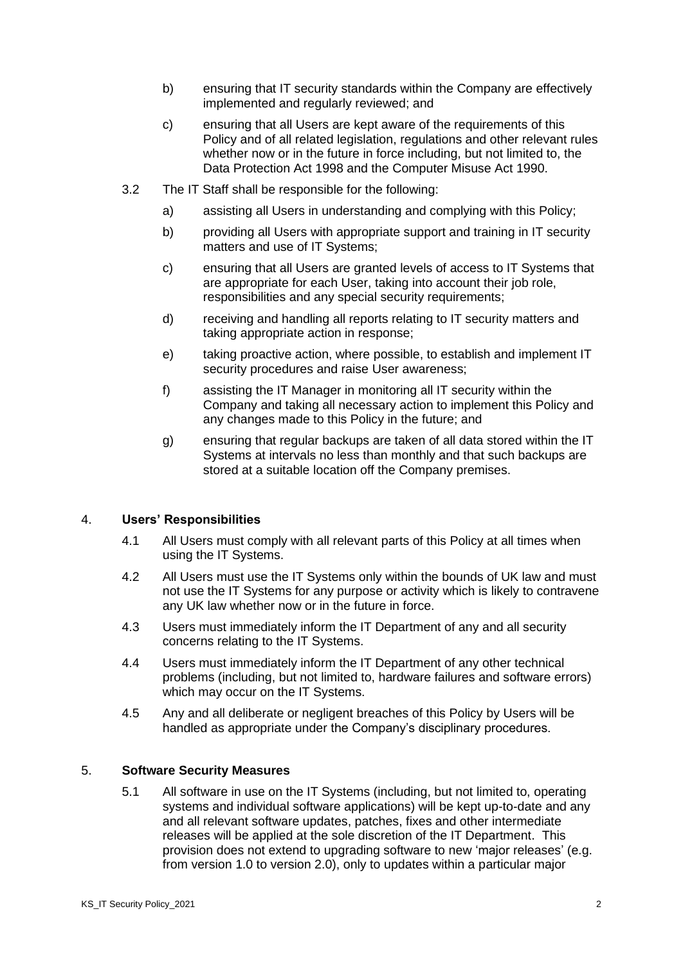- b) ensuring that IT security standards within the Company are effectively implemented and regularly reviewed; and
- c) ensuring that all Users are kept aware of the requirements of this Policy and of all related legislation, regulations and other relevant rules whether now or in the future in force including, but not limited to, the Data Protection Act 1998 and the Computer Misuse Act 1990.
- 3.2 The IT Staff shall be responsible for the following:
	- a) assisting all Users in understanding and complying with this Policy;
	- b) providing all Users with appropriate support and training in IT security matters and use of IT Systems:
	- c) ensuring that all Users are granted levels of access to IT Systems that are appropriate for each User, taking into account their job role, responsibilities and any special security requirements;
	- d) receiving and handling all reports relating to IT security matters and taking appropriate action in response;
	- e) taking proactive action, where possible, to establish and implement IT security procedures and raise User awareness;
	- f) assisting the IT Manager in monitoring all IT security within the Company and taking all necessary action to implement this Policy and any changes made to this Policy in the future; and
	- g) ensuring that regular backups are taken of all data stored within the IT Systems at intervals no less than monthly and that such backups are stored at a suitable location off the Company premises.

#### 4. **Users' Responsibilities**

- 4.1 All Users must comply with all relevant parts of this Policy at all times when using the IT Systems.
- 4.2 All Users must use the IT Systems only within the bounds of UK law and must not use the IT Systems for any purpose or activity which is likely to contravene any UK law whether now or in the future in force.
- 4.3 Users must immediately inform the IT Department of any and all security concerns relating to the IT Systems.
- 4.4 Users must immediately inform the IT Department of any other technical problems (including, but not limited to, hardware failures and software errors) which may occur on the IT Systems.
- 4.5 Any and all deliberate or negligent breaches of this Policy by Users will be handled as appropriate under the Company's disciplinary procedures.

## 5. **Software Security Measures**

5.1 All software in use on the IT Systems (including, but not limited to, operating systems and individual software applications) will be kept up-to-date and any and all relevant software updates, patches, fixes and other intermediate releases will be applied at the sole discretion of the IT Department. This provision does not extend to upgrading software to new 'major releases' (e.g. from version 1.0 to version 2.0), only to updates within a particular major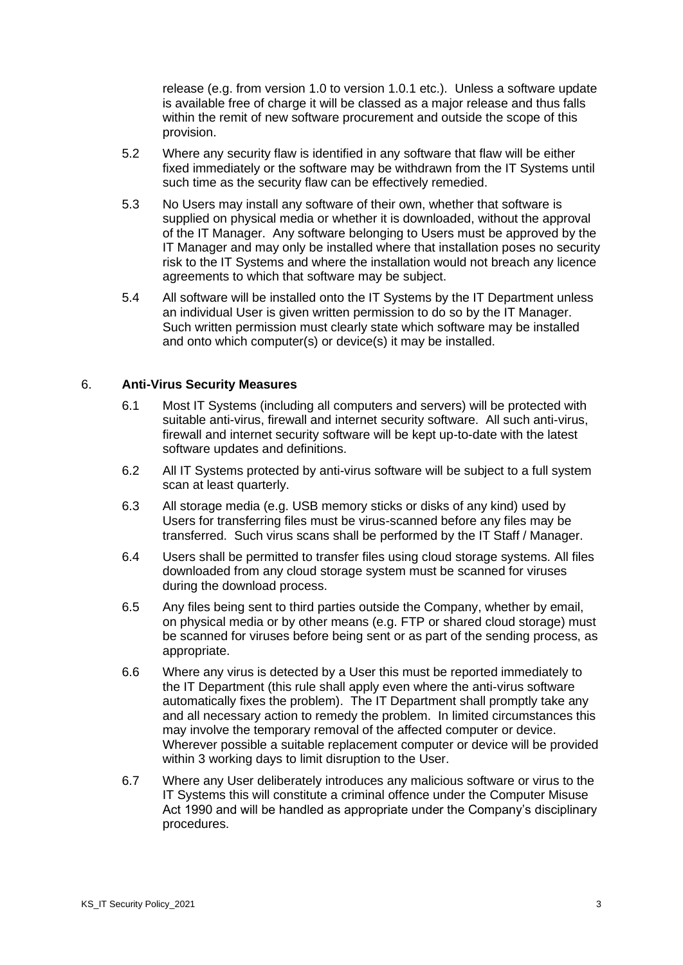release (e.g. from version 1.0 to version 1.0.1 etc.). Unless a software update is available free of charge it will be classed as a major release and thus falls within the remit of new software procurement and outside the scope of this provision.

- 5.2 Where any security flaw is identified in any software that flaw will be either fixed immediately or the software may be withdrawn from the IT Systems until such time as the security flaw can be effectively remedied.
- 5.3 No Users may install any software of their own, whether that software is supplied on physical media or whether it is downloaded, without the approval of the IT Manager. Any software belonging to Users must be approved by the IT Manager and may only be installed where that installation poses no security risk to the IT Systems and where the installation would not breach any licence agreements to which that software may be subject.
- 5.4 All software will be installed onto the IT Systems by the IT Department unless an individual User is given written permission to do so by the IT Manager. Such written permission must clearly state which software may be installed and onto which computer(s) or device(s) it may be installed.

### 6. **Anti-Virus Security Measures**

- 6.1 Most IT Systems (including all computers and servers) will be protected with suitable anti-virus, firewall and internet security software. All such anti-virus, firewall and internet security software will be kept up-to-date with the latest software updates and definitions.
- 6.2 All IT Systems protected by anti-virus software will be subject to a full system scan at least quarterly.
- 6.3 All storage media (e.g. USB memory sticks or disks of any kind) used by Users for transferring files must be virus-scanned before any files may be transferred. Such virus scans shall be performed by the IT Staff / Manager.
- 6.4 Users shall be permitted to transfer files using cloud storage systems. All files downloaded from any cloud storage system must be scanned for viruses during the download process.
- 6.5 Any files being sent to third parties outside the Company, whether by email, on physical media or by other means (e.g. FTP or shared cloud storage) must be scanned for viruses before being sent or as part of the sending process, as appropriate.
- 6.6 Where any virus is detected by a User this must be reported immediately to the IT Department (this rule shall apply even where the anti-virus software automatically fixes the problem). The IT Department shall promptly take any and all necessary action to remedy the problem. In limited circumstances this may involve the temporary removal of the affected computer or device. Wherever possible a suitable replacement computer or device will be provided within 3 working days to limit disruption to the User.
- 6.7 Where any User deliberately introduces any malicious software or virus to the IT Systems this will constitute a criminal offence under the Computer Misuse Act 1990 and will be handled as appropriate under the Company's disciplinary procedures.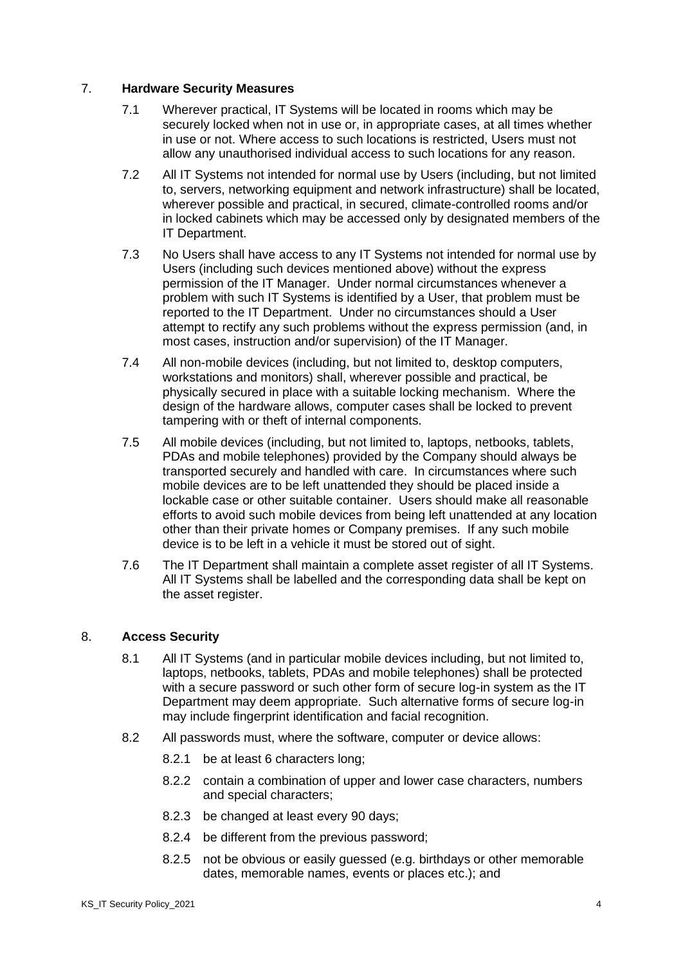# 7. **Hardware Security Measures**

- 7.1 Wherever practical, IT Systems will be located in rooms which may be securely locked when not in use or, in appropriate cases, at all times whether in use or not. Where access to such locations is restricted, Users must not allow any unauthorised individual access to such locations for any reason.
- 7.2 All IT Systems not intended for normal use by Users (including, but not limited to, servers, networking equipment and network infrastructure) shall be located, wherever possible and practical, in secured, climate-controlled rooms and/or in locked cabinets which may be accessed only by designated members of the IT Department.
- 7.3 No Users shall have access to any IT Systems not intended for normal use by Users (including such devices mentioned above) without the express permission of the IT Manager. Under normal circumstances whenever a problem with such IT Systems is identified by a User, that problem must be reported to the IT Department. Under no circumstances should a User attempt to rectify any such problems without the express permission (and, in most cases, instruction and/or supervision) of the IT Manager.
- 7.4 All non-mobile devices (including, but not limited to, desktop computers, workstations and monitors) shall, wherever possible and practical, be physically secured in place with a suitable locking mechanism. Where the design of the hardware allows, computer cases shall be locked to prevent tampering with or theft of internal components.
- 7.5 All mobile devices (including, but not limited to, laptops, netbooks, tablets, PDAs and mobile telephones) provided by the Company should always be transported securely and handled with care. In circumstances where such mobile devices are to be left unattended they should be placed inside a lockable case or other suitable container. Users should make all reasonable efforts to avoid such mobile devices from being left unattended at any location other than their private homes or Company premises. If any such mobile device is to be left in a vehicle it must be stored out of sight.
- 7.6 The IT Department shall maintain a complete asset register of all IT Systems. All IT Systems shall be labelled and the corresponding data shall be kept on the asset register.

# 8. **Access Security**

- 8.1 All IT Systems (and in particular mobile devices including, but not limited to, laptops, netbooks, tablets, PDAs and mobile telephones) shall be protected with a secure password or such other form of secure log-in system as the IT Department may deem appropriate. Such alternative forms of secure log-in may include fingerprint identification and facial recognition.
- 8.2 All passwords must, where the software, computer or device allows:
	- 8.2.1 be at least 6 characters long;
	- 8.2.2 contain a combination of upper and lower case characters, numbers and special characters;
	- 8.2.3 be changed at least every 90 days;
	- 8.2.4 be different from the previous password;
	- 8.2.5 not be obvious or easily guessed (e.g. birthdays or other memorable dates, memorable names, events or places etc.); and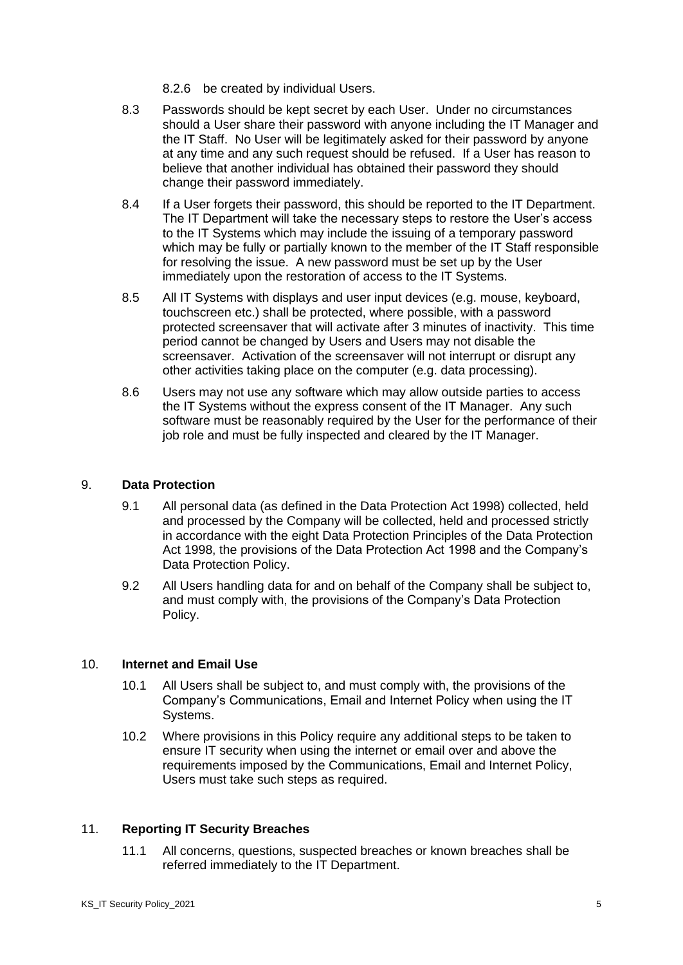- 8.2.6 be created by individual Users.
- 8.3 Passwords should be kept secret by each User. Under no circumstances should a User share their password with anyone including the IT Manager and the IT Staff. No User will be legitimately asked for their password by anyone at any time and any such request should be refused. If a User has reason to believe that another individual has obtained their password they should change their password immediately.
- 8.4 If a User forgets their password, this should be reported to the IT Department. The IT Department will take the necessary steps to restore the User's access to the IT Systems which may include the issuing of a temporary password which may be fully or partially known to the member of the IT Staff responsible for resolving the issue. A new password must be set up by the User immediately upon the restoration of access to the IT Systems.
- 8.5 All IT Systems with displays and user input devices (e.g. mouse, keyboard, touchscreen etc.) shall be protected, where possible, with a password protected screensaver that will activate after 3 minutes of inactivity. This time period cannot be changed by Users and Users may not disable the screensaver. Activation of the screensaver will not interrupt or disrupt any other activities taking place on the computer (e.g. data processing).
- 8.6 Users may not use any software which may allow outside parties to access the IT Systems without the express consent of the IT Manager. Any such software must be reasonably required by the User for the performance of their job role and must be fully inspected and cleared by the IT Manager.

# 9. **Data Protection**

- 9.1 All personal data (as defined in the Data Protection Act 1998) collected, held and processed by the Company will be collected, held and processed strictly in accordance with the eight Data Protection Principles of the Data Protection Act 1998, the provisions of the Data Protection Act 1998 and the Company's Data Protection Policy.
- 9.2 All Users handling data for and on behalf of the Company shall be subject to, and must comply with, the provisions of the Company's Data Protection Policy.

# 10. **Internet and Email Use**

- 10.1 All Users shall be subject to, and must comply with, the provisions of the Company's Communications, Email and Internet Policy when using the IT Systems.
- 10.2 Where provisions in this Policy require any additional steps to be taken to ensure IT security when using the internet or email over and above the requirements imposed by the Communications, Email and Internet Policy, Users must take such steps as required.

# 11. **Reporting IT Security Breaches**

11.1 All concerns, questions, suspected breaches or known breaches shall be referred immediately to the IT Department.